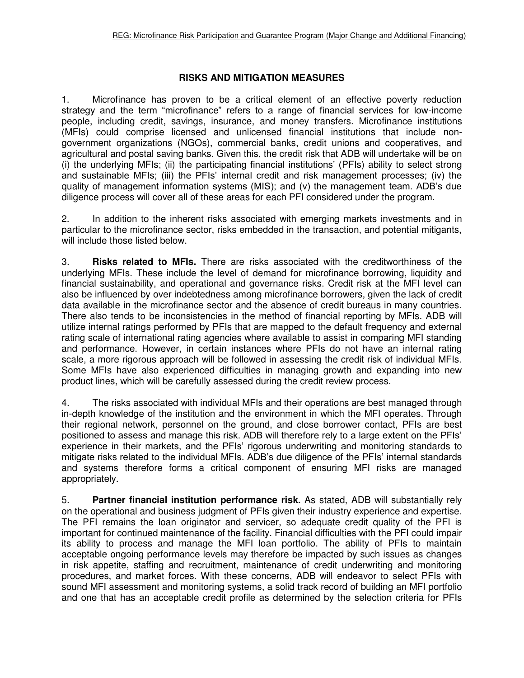## **RISKS AND MITIGATION MEASURES**

1. Microfinance has proven to be a critical element of an effective poverty reduction strategy and the term "microfinance" refers to a range of financial services for low-income people, including credit, savings, insurance, and money transfers. Microfinance institutions (MFIs) could comprise licensed and unlicensed financial institutions that include nongovernment organizations (NGOs), commercial banks, credit unions and cooperatives, and agricultural and postal saving banks. Given this, the credit risk that ADB will undertake will be on (i) the underlying MFIs; (ii) the participating financial institutions' (PFIs) ability to select strong and sustainable MFIs; (iii) the PFIs' internal credit and risk management processes; (iv) the quality of management information systems (MIS); and (v) the management team. ADB's due diligence process will cover all of these areas for each PFI considered under the program.

2. In addition to the inherent risks associated with emerging markets investments and in particular to the microfinance sector, risks embedded in the transaction, and potential mitigants, will include those listed below.

3. **Risks related to MFIs.** There are risks associated with the creditworthiness of the underlying MFIs. These include the level of demand for microfinance borrowing, liquidity and financial sustainability, and operational and governance risks. Credit risk at the MFI level can also be influenced by over indebtedness among microfinance borrowers, given the lack of credit data available in the microfinance sector and the absence of credit bureaus in many countries. There also tends to be inconsistencies in the method of financial reporting by MFIs. ADB will utilize internal ratings performed by PFIs that are mapped to the default frequency and external rating scale of international rating agencies where available to assist in comparing MFI standing and performance. However, in certain instances where PFIs do not have an internal rating scale, a more rigorous approach will be followed in assessing the credit risk of individual MFIs. Some MFIs have also experienced difficulties in managing growth and expanding into new product lines, which will be carefully assessed during the credit review process.

4. The risks associated with individual MFIs and their operations are best managed through in-depth knowledge of the institution and the environment in which the MFI operates. Through their regional network, personnel on the ground, and close borrower contact, PFIs are best positioned to assess and manage this risk. ADB will therefore rely to a large extent on the PFIs' experience in their markets, and the PFIs' rigorous underwriting and monitoring standards to mitigate risks related to the individual MFIs. ADB's due diligence of the PFIs' internal standards and systems therefore forms a critical component of ensuring MFI risks are managed appropriately.

5. **Partner financial institution performance risk.** As stated, ADB will substantially rely on the operational and business judgment of PFIs given their industry experience and expertise. The PFI remains the loan originator and servicer, so adequate credit quality of the PFI is important for continued maintenance of the facility. Financial difficulties with the PFI could impair its ability to process and manage the MFI loan portfolio. The ability of PFIs to maintain acceptable ongoing performance levels may therefore be impacted by such issues as changes in risk appetite, staffing and recruitment, maintenance of credit underwriting and monitoring procedures, and market forces. With these concerns, ADB will endeavor to select PFIs with sound MFI assessment and monitoring systems, a solid track record of building an MFI portfolio and one that has an acceptable credit profile as determined by the selection criteria for PFIs